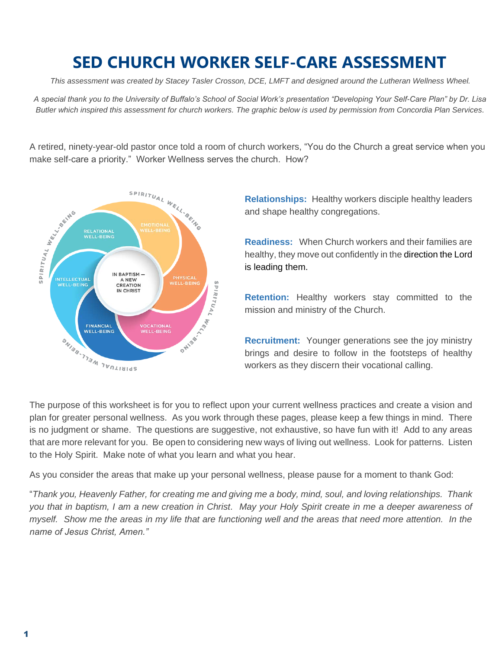# **SED CHURCH WORKER SELF-CARE ASSESSMENT**

*This assessment was created by Stacey Tasler Crosson, DCE, LMFT and designed around the Lutheran Wellness Wheel.* 

*A special thank you to the University of Buffalo's School of Social Work's presentation "Developing Your Self-Care Plan" by Dr. Lisa Butler which inspired this assessment for church workers. The graphic below is used by permission from Concordia Plan Services.*

A retired, ninety-year-old pastor once told a room of church workers, "You do the Church a great service when you make self-care a priority." Worker Wellness serves the church. How?



**Relationships:** Healthy workers disciple healthy leaders and shape healthy congregations.

**Readiness:** When Church workers and their families are healthy, they move out confidently in the direction the Lord is leading them.

**Retention:** Healthy workers stay committed to the mission and ministry of the Church.

**Recruitment:** Younger generations see the joy ministry brings and desire to follow in the footsteps of healthy workers as they discern their vocational calling.

The purpose of this worksheet is for you to reflect upon your current wellness practices and create a vision and plan for greater personal wellness. As you work through these pages, please keep a few things in mind. There is no judgment or shame. The questions are suggestive, not exhaustive, so have fun with it! Add to any areas that are more relevant for you. Be open to considering new ways of living out wellness. Look for patterns. Listen to the Holy Spirit. Make note of what you learn and what you hear.

As you consider the areas that make up your personal wellness, please pause for a moment to thank God:

"*Thank you, Heavenly Father, for creating me and giving me a body, mind, soul, and loving relationships. Thank you that in baptism, I am a new creation in Christ. May your Holy Spirit create in me a deeper awareness of myself. Show me the areas in my life that are functioning well and the areas that need more attention. In the name of Jesus Christ, Amen."*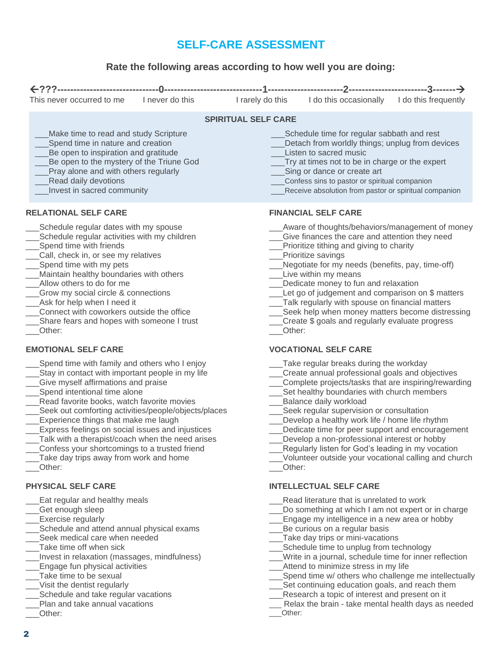# **SELF-CARE ASSESSMENT**

## **Rate the following areas according to how well you are doing:**

| This never occurred to me                                                                                                                                                                                                                                                                                                                                                                                                             | I never do this | I rarely do this                                                                                                                                                                                                                                                                                                   | I do this occasionally                                                                                                                                                                                                                                                                                                                                                                                                                                                                                         | I do this frequently |  |
|---------------------------------------------------------------------------------------------------------------------------------------------------------------------------------------------------------------------------------------------------------------------------------------------------------------------------------------------------------------------------------------------------------------------------------------|-----------------|--------------------------------------------------------------------------------------------------------------------------------------------------------------------------------------------------------------------------------------------------------------------------------------------------------------------|----------------------------------------------------------------------------------------------------------------------------------------------------------------------------------------------------------------------------------------------------------------------------------------------------------------------------------------------------------------------------------------------------------------------------------------------------------------------------------------------------------------|----------------------|--|
|                                                                                                                                                                                                                                                                                                                                                                                                                                       |                 | <b>SPIRITUAL SELF CARE</b>                                                                                                                                                                                                                                                                                         |                                                                                                                                                                                                                                                                                                                                                                                                                                                                                                                |                      |  |
| Make time to read and study Scripture<br>Spend time in nature and creation<br>Be open to inspiration and gratitude<br>Be open to the mystery of the Triune God<br>Pray alone and with others regularly<br>Read daily devotions<br>Invest in sacred community                                                                                                                                                                          |                 | Schedule time for regular sabbath and rest<br>Detach from worldly things; unplug from devices<br>Listen to sacred music<br>Try at times not to be in charge or the expert<br>Sing or dance or create art<br>Confess sins to pastor or spiritual companion<br>Receive absolution from pastor or spiritual companion |                                                                                                                                                                                                                                                                                                                                                                                                                                                                                                                |                      |  |
| <b>RELATIONAL SELF CARE</b>                                                                                                                                                                                                                                                                                                                                                                                                           |                 | <b>FINANCIAL SELF CARE</b>                                                                                                                                                                                                                                                                                         |                                                                                                                                                                                                                                                                                                                                                                                                                                                                                                                |                      |  |
| Schedule regular dates with my spouse<br>Schedule regular activities with my children<br>Spend time with friends<br>Call, check in, or see my relatives<br>Spend time with my pets<br>Maintain healthy boundaries with others<br>Allow others to do for me<br>Grow my social circle & connections<br>Ask for help when I need it<br>Connect with coworkers outside the office<br>Share fears and hopes with someone I trust<br>Other: |                 |                                                                                                                                                                                                                                                                                                                    | Aware of thoughts/behaviors/management of money<br>Give finances the care and attention they need<br>Prioritize tithing and giving to charity<br>Prioritize savings<br>Negotiate for my needs (benefits, pay, time-off)<br>Live within my means<br>Dedicate money to fun and relaxation<br>Let go of judgement and comparison on \$ matters<br>Talk regularly with spouse on financial matters<br>Seek help when money matters become distressing<br>Create \$ goals and regularly evaluate progress<br>Other: |                      |  |
| <b>EMOTIONAL SELF CARE</b>                                                                                                                                                                                                                                                                                                                                                                                                            |                 |                                                                                                                                                                                                                                                                                                                    | <b>VOCATIONAL SELF CARE</b>                                                                                                                                                                                                                                                                                                                                                                                                                                                                                    |                      |  |
| Spend time with family and others who I enjoy<br>Stay in contact with important people in my life<br>Give myself affirmations and praise<br>Spend intentional time alone<br>Read favorite books, watch favorite movies<br>Seek out comforting activities/people/objects/places<br>Experience things that make me laugh<br>Express foolings on social issues and injustices                                                            |                 |                                                                                                                                                                                                                                                                                                                    | Take regular breaks during the workday<br>Create annual professional goals and objectives<br>Complete projects/tasks that are inspiring/rewarding<br>Set healthy boundaries with church members<br>Balance daily workload<br>Seek regular supervision or consultation<br>Develop a healthy work life / home life rhythm<br>Dodicato timo for poor support and opening announ                                                                                                                                   |                      |  |

- \_\_\_Express feelings on social issues and injustices
- Talk with a therapist/coach when the need arises
- \_\_\_Confess your shortcomings to a trusted friend
- Take day trips away from work and home \_\_\_Other:

#### **PHYSICAL SELF CARE**

- \_\_\_Eat regular and healthy meals
- \_\_\_Get enough sleep
- Exercise regularly
- Schedule and attend annual physical exams Seek medical care when needed
- Take time off when sick
- \_\_\_Invest in relaxation (massages, mindfulness)
- Engage fun physical activities
- Take time to be sexual
- \_\_\_Visit the dentist regularly
- Schedule and take regular vacations
- Plan and take annual vacations
- \_\_\_Other:
- \_\_\_Dedicate time for peer support and encouragement
- Develop a non-professional interest or hobby
- Regularly listen for God's leading in my vocation
- \_\_\_Volunteer outside your vocational calling and church \_\_\_Other:

# **INTELLECTUAL SELF CARE**

- \_\_\_Read literature that is unrelated to work
- Do something at which I am not expert or in charge
- Engage my intelligence in a new area or hobby
- Be curious on a regular basis
- Take day trips or mini-vacations
- Schedule time to unplug from technology
- \_\_\_Write in a journal, schedule time for inner reflection
- Attend to minimize stress in my life
- \_\_\_Spend time w/ others who challenge me intellectually
- Set continuing education goals, and reach them
- Research a topic of interest and present on it
- Relax the brain take mental health days as needed \_\_\_Other: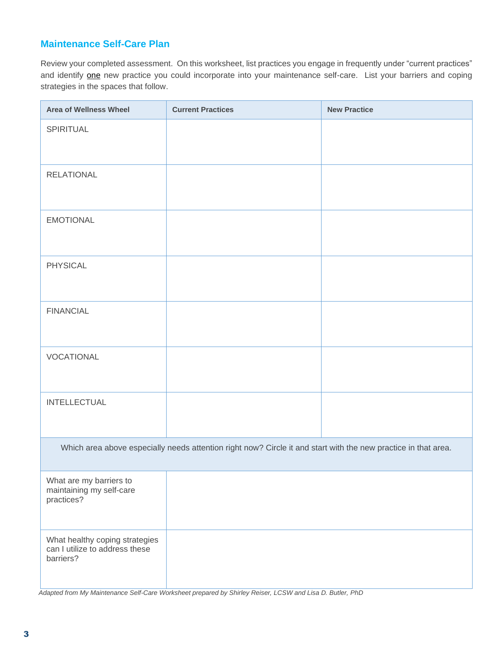## **Maintenance Self-Care Plan**

Review your completed assessment. On this worksheet, list practices you engage in frequently under "current practices" and identify one new practice you could incorporate into your maintenance self-care. List your barriers and coping strategies in the spaces that follow.

| <b>Area of Wellness Wheel</b>                                                                                  | <b>Current Practices</b> | <b>New Practice</b> |  |  |
|----------------------------------------------------------------------------------------------------------------|--------------------------|---------------------|--|--|
| SPIRITUAL                                                                                                      |                          |                     |  |  |
| <b>RELATIONAL</b>                                                                                              |                          |                     |  |  |
| <b>EMOTIONAL</b>                                                                                               |                          |                     |  |  |
| <b>PHYSICAL</b>                                                                                                |                          |                     |  |  |
| <b>FINANCIAL</b>                                                                                               |                          |                     |  |  |
| VOCATIONAL                                                                                                     |                          |                     |  |  |
| <b>INTELLECTUAL</b>                                                                                            |                          |                     |  |  |
| Which area above especially needs attention right now? Circle it and start with the new practice in that area. |                          |                     |  |  |
| What are my barriers to<br>maintaining my self-care<br>practices?                                              |                          |                     |  |  |
| What healthy coping strategies<br>can I utilize to address these<br>barriers?                                  |                          |                     |  |  |

 *Adapted from My Maintenance Self-Care Worksheet prepared by Shirley Reiser, LCSW and Lisa D. Butler, PhD*